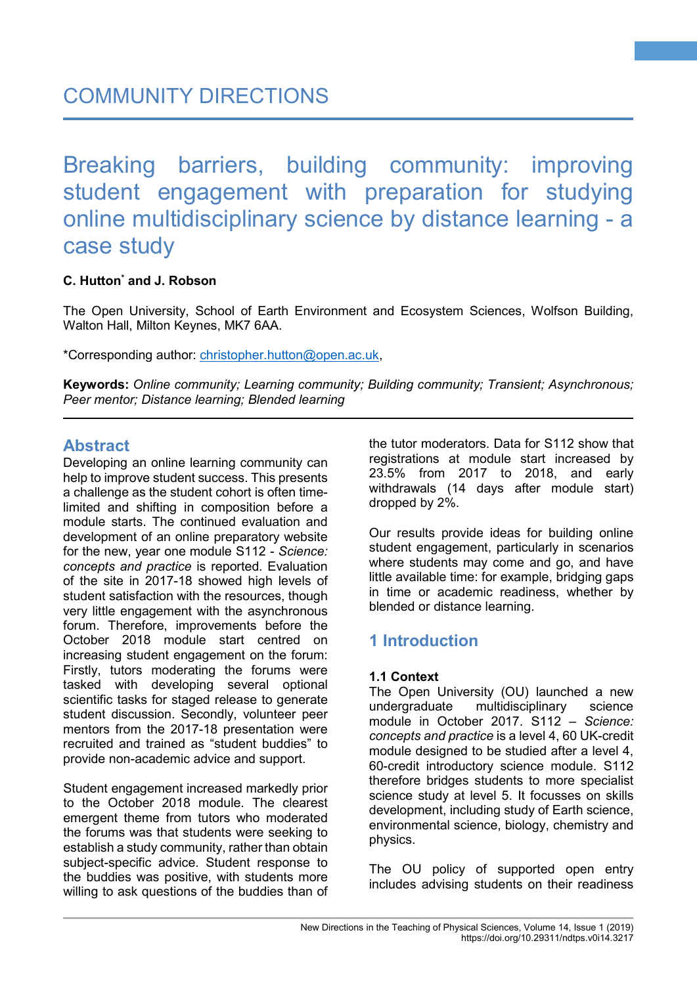# Breaking barriers, building community: improving student engagement with preparation for studying online multidisciplinary science by distance learning - a case study

### **C. Hutton\* and J. Robson**

The Open University, School of Earth Environment and Ecosystem Sciences, Wolfson Building, Walton Hall, Milton Keynes, MK7 6AA.

\*Corresponding author: [christopher.hutton@open.ac.uk,](mailto:christopher.hutton@open.ac.uk)

**Keywords:** *Online community; Learning community; Building community; Transient; Asynchronous; Peer mentor; Distance learning; Blended learning*

## **Abstract**

Developing an online learning community can help to improve student success. This presents a challenge as the student cohort is often timelimited and shifting in composition before a module starts. The continued evaluation and development of an online preparatory website for the new, year one module S112 - *Science: concepts and practice* is reported. Evaluation of the site in 2017-18 showed high levels of student satisfaction with the resources, though very little engagement with the asynchronous forum. Therefore, improvements before the October 2018 module start centred on increasing student engagement on the forum: Firstly, tutors moderating the forums were tasked with developing several optional scientific tasks for staged release to generate student discussion. Secondly, volunteer peer mentors from the 2017-18 presentation were recruited and trained as "student buddies" to provide non-academic advice and support.

Student engagement increased markedly prior to the October 2018 module. The clearest emergent theme from tutors who moderated the forums was that students were seeking to establish a study community, rather than obtain subject-specific advice. Student response to the buddies was positive, with students more willing to ask questions of the buddies than of the tutor moderators. Data for S112 show that registrations at module start increased by 23.5% from 2017 to 2018, and early withdrawals (14 days after module start) dropped by 2%.

**1**

Our results provide ideas for building online student engagement, particularly in scenarios where students may come and go, and have little available time: for example, bridging gaps in time or academic readiness, whether by blended or distance learning.

## **1 Introduction**

#### **1.1 Context**

The Open University (OU) launched a new undergraduate multidisciplinary science module in October 2017. S112 *– Science: concepts and practice* is a level 4, 60 UK-credit module designed to be studied after a level 4, 60-credit introductory science module. S112 therefore bridges students to more specialist science study at level 5. It focusses on skills development, including study of Earth science, environmental science, biology, chemistry and physics.

The OU policy of supported open entry includes advising students on their readiness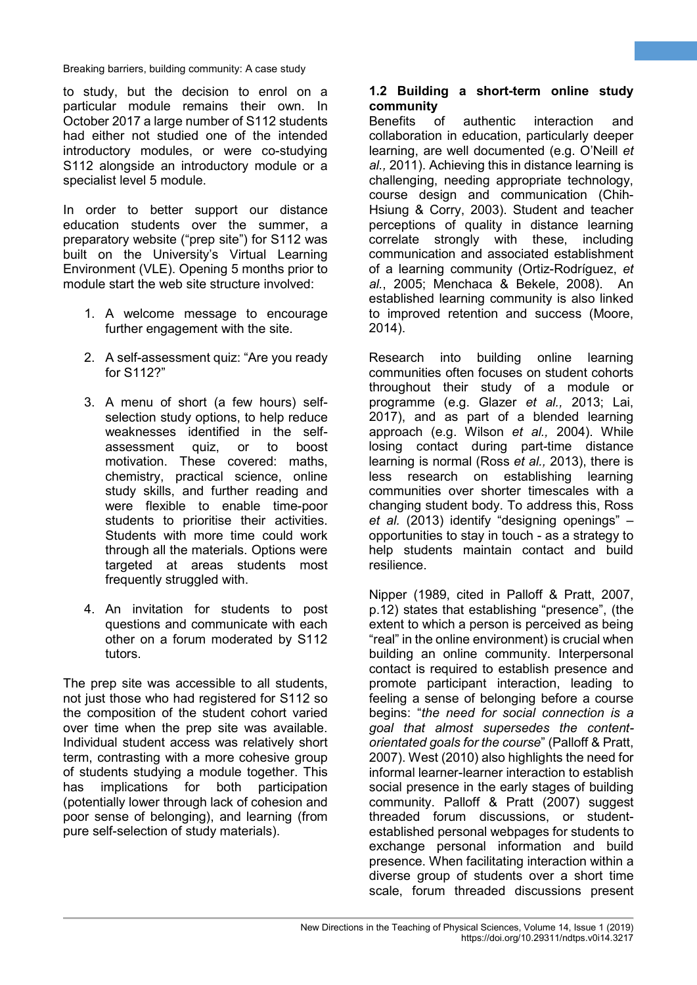to study, but the decision to enrol on a particular module remains their own. In October 2017 a large number of S112 students had either not studied one of the intended introductory modules, or were co-studying S112 alongside an introductory module or a specialist level 5 module.

In order to better support our distance education students over the summer, a preparatory website ("prep site") for S112 was built on the University's Virtual Learning Environment (VLE). Opening 5 months prior to module start the web site structure involved:

- 1. A welcome message to encourage further engagement with the site.
- 2. A self-assessment quiz: "Are you ready for S112?"
- 3. A menu of short (a few hours) selfselection study options, to help reduce weaknesses identified in the selfassessment quiz, or to boost motivation. These covered: maths, chemistry, practical science, online study skills, and further reading and were flexible to enable time-poor students to prioritise their activities. Students with more time could work through all the materials. Options were targeted at areas students most frequently struggled with.
- 4. An invitation for students to post questions and communicate with each other on a forum moderated by S112 tutors.

The prep site was accessible to all students, not just those who had registered for S112 so the composition of the student cohort varied over time when the prep site was available. Individual student access was relatively short term, contrasting with a more cohesive group of students studying a module together. This has implications for both participation (potentially lower through lack of cohesion and poor sense of belonging), and learning (from pure self-selection of study materials).

## **1.2 Building a short-term online study community**

**2**

of authentic interaction and collaboration in education, particularly deeper learning, are well documented (e.g. O'Neill *et al.,* 2011). Achieving this in distance learning is challenging, needing appropriate technology, course design and communication (Chih-Hsiung & Corry, 2003). Student and teacher perceptions of quality in distance learning correlate strongly with these, including communication and associated establishment of a learning community (Ortiz-Rodríguez, *et al.*, 2005; Menchaca & Bekele, 2008). An established learning community is also linked to improved retention and success (Moore, 2014).

Research into building online learning communities often focuses on student cohorts throughout their study of a module or programme (e.g. Glazer *et al.,* 2013; Lai, 2017), and as part of a blended learning approach (e.g. Wilson *et al.,* 2004). While losing contact during part-time distance learning is normal (Ross *et al.,* 2013), there is less research on establishing learning communities over shorter timescales with a changing student body. To address this, Ross *et al.* (2013) identify "designing openings" – opportunities to stay in touch - as a strategy to help students maintain contact and build resilience.

Nipper (1989, cited in Palloff & Pratt, 2007, p.12) states that establishing "presence", (the extent to which a person is perceived as being "real" in the online environment) is crucial when building an online community. Interpersonal contact is required to establish presence and promote participant interaction, leading to feeling a sense of belonging before a course begins: "*the need for social connection is a goal that almost supersedes the contentorientated goals for the course*" (Palloff & Pratt, 2007). West (2010) also highlights the need for informal learner-learner interaction to establish social presence in the early stages of building community. Palloff & Pratt (2007) suggest threaded forum discussions, or studentestablished personal webpages for students to exchange personal information and build presence. When facilitating interaction within a diverse group of students over a short time scale, forum threaded discussions present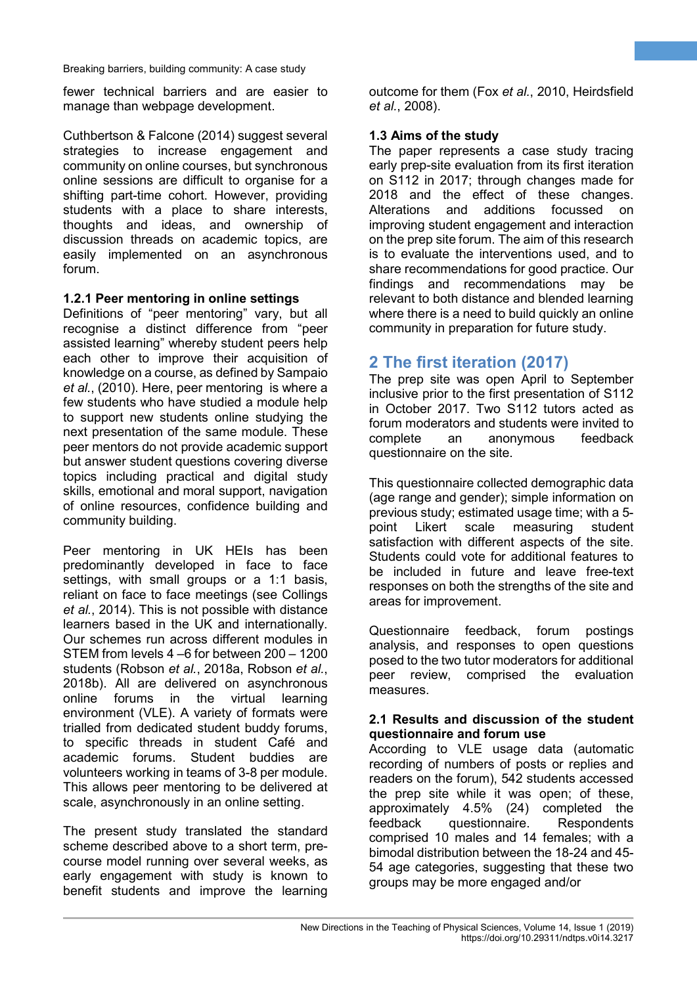fewer technical barriers and are easier to manage than webpage development.

Cuthbertson & Falcone (2014) suggest several strategies to increase engagement and community on online courses, but synchronous online sessions are difficult to organise for a shifting part-time cohort. However, providing students with a place to share interests, thoughts and ideas, and ownership of discussion threads on academic topics, are easily implemented on an asynchronous forum.

#### **1.2.1 Peer mentoring in online settings**

Definitions of "peer mentoring" vary, but all recognise a distinct difference from "peer assisted learning" whereby student peers help each other to improve their acquisition of knowledge on a course, as defined by Sampaio *et al.*, (2010). Here, peer mentoring is where a few students who have studied a module help to support new students online studying the next presentation of the same module. These peer mentors do not provide academic support but answer student questions covering diverse topics including practical and digital study skills, emotional and moral support, navigation of online resources, confidence building and community building.

Peer mentoring in UK HEIs has been predominantly developed in face to face settings, with small groups or a 1:1 basis, reliant on face to face meetings (see Collings *et al.*, 2014). This is not possible with distance learners based in the UK and internationally. Our schemes run across different modules in STEM from levels 4 –6 for between 200 – 1200 students (Robson *et al.*, 2018a, Robson *et al.*, 2018b). All are delivered on asynchronous online forums in the virtual learning environment (VLE). A variety of formats were trialled from dedicated student buddy forums, to specific threads in student Café and academic forums. Student buddies are volunteers working in teams of 3-8 per module. This allows peer mentoring to be delivered at scale, asynchronously in an online setting.

The present study translated the standard scheme described above to a short term, precourse model running over several weeks, as early engagement with study is known to benefit students and improve the learning outcome for them (Fox *et al.*, 2010, Heirdsfield *et al.*, 2008).

**3**

#### **1.3 Aims of the study**

The paper represents a case study tracing early prep-site evaluation from its first iteration on S112 in 2017; through changes made for 2018 and the effect of these changes. Alterations and additions focussed on improving student engagement and interaction on the prep site forum. The aim of this research is to evaluate the interventions used, and to share recommendations for good practice. Our findings and recommendations may be relevant to both distance and blended learning where there is a need to build quickly an online community in preparation for future study.

## **2 The first iteration (2017)**

The prep site was open April to September inclusive prior to the first presentation of S112 in October 2017. Two S112 tutors acted as forum moderators and students were invited to complete an anonymous feedback questionnaire on the site.

This questionnaire collected demographic data (age range and gender); simple information on previous study; estimated usage time; with a 5 point Likert scale measuring student satisfaction with different aspects of the site. Students could vote for additional features to be included in future and leave free-text responses on both the strengths of the site and areas for improvement.

Questionnaire feedback, forum postings analysis, and responses to open questions posed to the two tutor moderators for additional peer review, comprised the evaluation measures.

#### **2.1 Results and discussion of the student questionnaire and forum use**

According to VLE usage data (automatic recording of numbers of posts or replies and readers on the forum), 542 students accessed the prep site while it was open; of these, approximately 4.5% (24) completed the feedback questionnaire. Respondents comprised 10 males and 14 females; with a bimodal distribution between the 18-24 and 45- 54 age categories, suggesting that these two groups may be more engaged and/or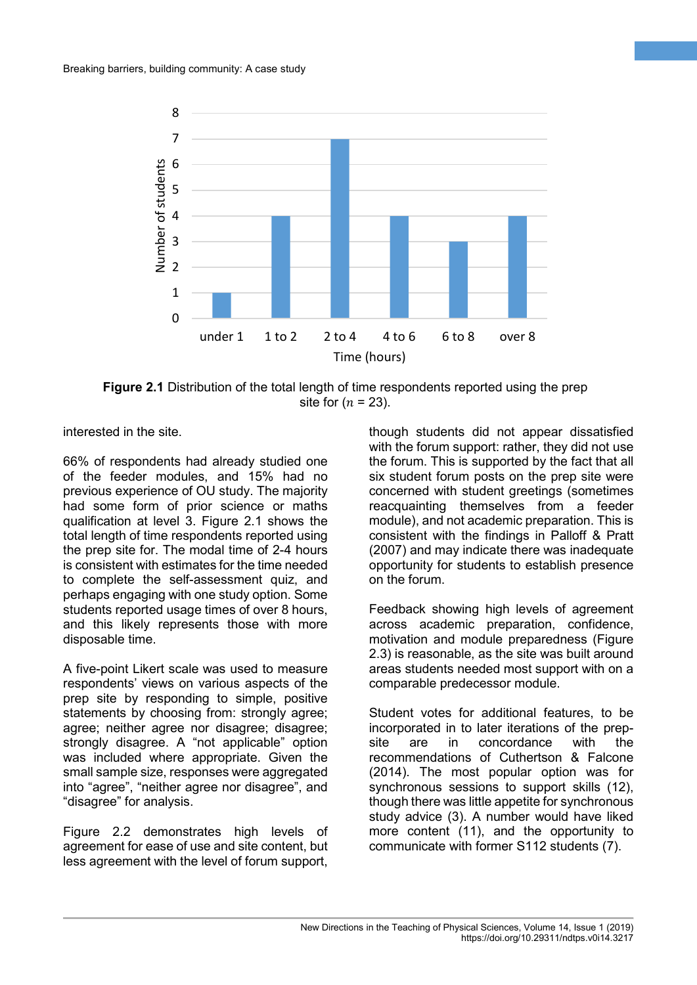

**Figure 2.1** Distribution of the total length of time respondents reported using the prep site for  $(n = 23)$ .

interested in the site.

66% of respondents had already studied one of the feeder modules, and 15% had no previous experience of OU study. The majority had some form of prior science or maths qualification at level 3. Figure 2.1 shows the total length of time respondents reported using the prep site for. The modal time of 2-4 hours is consistent with estimates for the time needed to complete the self-assessment quiz, and perhaps engaging with one study option. Some students reported usage times of over 8 hours, and this likely represents those with more disposable time.

A five-point Likert scale was used to measure respondents' views on various aspects of the prep site by responding to simple, positive statements by choosing from: strongly agree; agree; neither agree nor disagree; disagree; strongly disagree. A "not applicable" option was included where appropriate. Given the small sample size, responses were aggregated into "agree", "neither agree nor disagree", and "disagree" for analysis.

Figure 2.2 demonstrates high levels of agreement for ease of use and site content, but less agreement with the level of forum support, though students did not appear dissatisfied with the forum support: rather, they did not use the forum. This is supported by the fact that all six student forum posts on the prep site were concerned with student greetings (sometimes reacquainting themselves from a feeder module), and not academic preparation. This is consistent with the findings in Palloff & Pratt (2007) and may indicate there was inadequate opportunity for students to establish presence on the forum.

**4**

Feedback showing high levels of agreement across academic preparation, confidence, motivation and module preparedness (Figure 2.3) is reasonable, as the site was built around areas students needed most support with on a comparable predecessor module.

Student votes for additional features, to be incorporated in to later iterations of the prepsite are in concordance with the recommendations of Cuthertson & Falcone (2014). The most popular option was for synchronous sessions to support skills (12), though there was little appetite for synchronous study advice (3). A number would have liked more content (11), and the opportunity to communicate with former S112 students (7).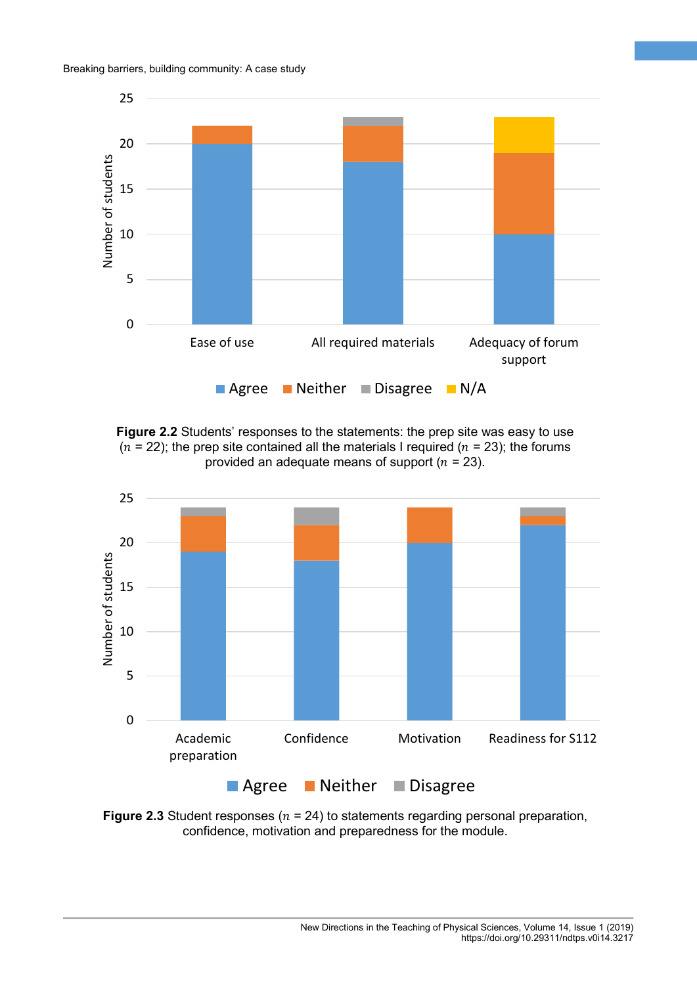

**5**

**Figure 2.2** Students' responses to the statements: the prep site was easy to use  $(n = 22)$ ; the prep site contained all the materials I required  $(n = 23)$ ; the forums provided an adequate means of support ( $n = 23$ ).



**Figure 2.3** Student responses ( $n = 24$ ) to statements regarding personal preparation, confidence, motivation and preparedness for the module.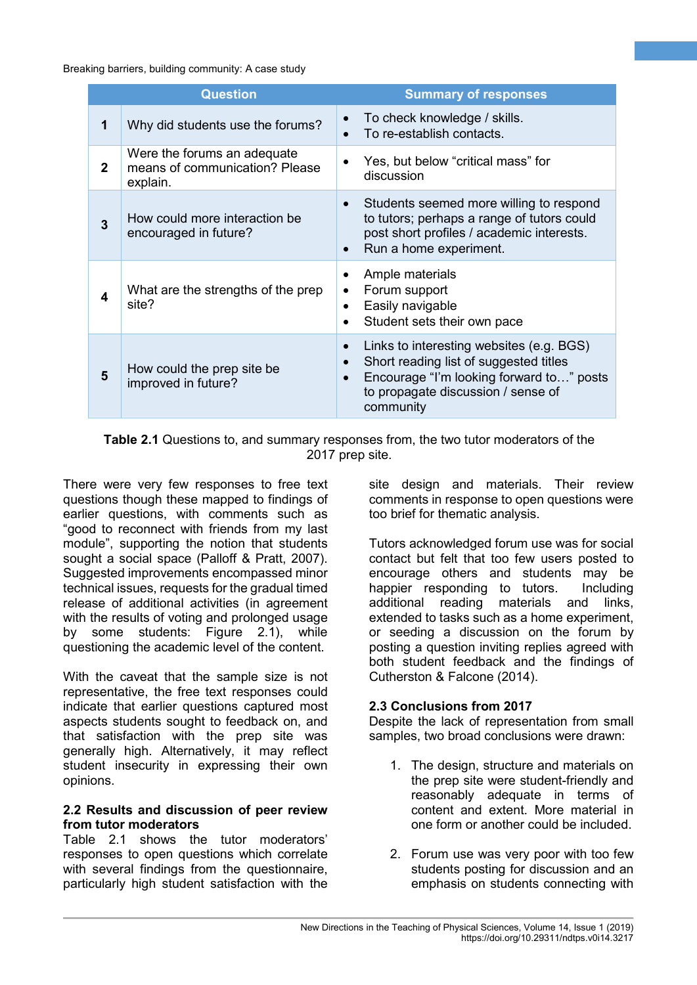| <b>Question</b> |                                                                           | <b>Summary of responses</b>                                                                                                                                                       |
|-----------------|---------------------------------------------------------------------------|-----------------------------------------------------------------------------------------------------------------------------------------------------------------------------------|
| 1               | Why did students use the forums?                                          | To check knowledge / skills.<br>To re-establish contacts.                                                                                                                         |
| $\mathbf{2}$    | Were the forums an adequate<br>means of communication? Please<br>explain. | Yes, but below "critical mass" for<br>discussion                                                                                                                                  |
| 3               | How could more interaction be<br>encouraged in future?                    | Students seemed more willing to respond<br>to tutors; perhaps a range of tutors could<br>post short profiles / academic interests.<br>Run a home experiment.<br>$\bullet$         |
| 4               | What are the strengths of the prep<br>site?                               | Ample materials<br>Forum support<br>Easily navigable<br>Student sets their own pace                                                                                               |
| 5               | How could the prep site be<br>improved in future?                         | Links to interesting websites (e.g. BGS)<br>Short reading list of suggested titles<br>Encourage "I'm looking forward to" posts<br>to propagate discussion / sense of<br>community |

**Table 2.1** Questions to, and summary responses from, the two tutor moderators of the 2017 prep site.

There were very few responses to free text questions though these mapped to findings of earlier questions, with comments such as "good to reconnect with friends from my last module", supporting the notion that students sought a social space (Palloff & Pratt, 2007). Suggested improvements encompassed minor technical issues, requests for the gradual timed release of additional activities (in agreement with the results of voting and prolonged usage by some students: Figure 2.1), while questioning the academic level of the content.

With the caveat that the sample size is not representative, the free text responses could indicate that earlier questions captured most aspects students sought to feedback on, and that satisfaction with the prep site was generally high. Alternatively, it may reflect student insecurity in expressing their own opinions.

#### **2.2 Results and discussion of peer review from tutor moderators**

Table 2.1 shows the tutor moderators' responses to open questions which correlate with several findings from the questionnaire, particularly high student satisfaction with the

site design and materials. Their review comments in response to open questions were too brief for thematic analysis.

**6**

Tutors acknowledged forum use was for social contact but felt that too few users posted to encourage others and students may be happier responding to tutors. Including additional reading materials and links, extended to tasks such as a home experiment, or seeding a discussion on the forum by posting a question inviting replies agreed with both student feedback and the findings of Cutherston & Falcone (2014).

## **2.3 Conclusions from 2017**

Despite the lack of representation from small samples, two broad conclusions were drawn:

- 1. The design, structure and materials on the prep site were student-friendly and reasonably adequate in terms of content and extent. More material in one form or another could be included.
- 2. Forum use was very poor with too few students posting for discussion and an emphasis on students connecting with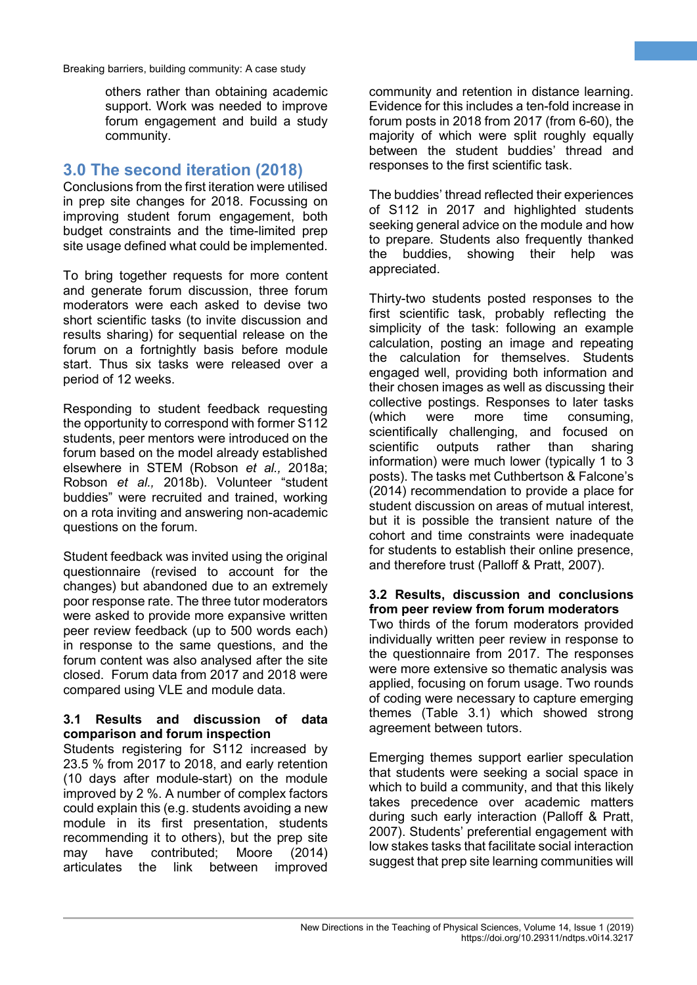others rather than obtaining academic support. Work was needed to improve forum engagement and build a study community.

## **3.0 The second iteration (2018)**

Conclusions from the first iteration were utilised in prep site changes for 2018. Focussing on improving student forum engagement, both budget constraints and the time-limited prep site usage defined what could be implemented.

To bring together requests for more content and generate forum discussion, three forum moderators were each asked to devise two short scientific tasks (to invite discussion and results sharing) for sequential release on the forum on a fortnightly basis before module start. Thus six tasks were released over a period of 12 weeks.

Responding to student feedback requesting the opportunity to correspond with former S112 students, peer mentors were introduced on the forum based on the model already established elsewhere in STEM (Robson *et al.,* 2018a; Robson *et al.,* 2018b). Volunteer "student buddies" were recruited and trained, working on a rota inviting and answering non-academic questions on the forum.

Student feedback was invited using the original questionnaire (revised to account for the changes) but abandoned due to an extremely poor response rate. The three tutor moderators were asked to provide more expansive written peer review feedback (up to 500 words each) in response to the same questions, and the forum content was also analysed after the site closed. Forum data from 2017 and 2018 were compared using VLE and module data.

#### **3.1 Results and discussion of data comparison and forum inspection**

Students registering for S112 increased by 23.5 % from 2017 to 2018, and early retention (10 days after module-start) on the module improved by 2 %. A number of complex factors could explain this (e.g. students avoiding a new module in its first presentation, students recommending it to others), but the prep site may have contributed; Moore (2014)<br>articulates the link between improved link between improved community and retention in distance learning. Evidence for this includes a ten-fold increase in forum posts in 2018 from 2017 (from 6-60), the majority of which were split roughly equally between the student buddies' thread and responses to the first scientific task.

**7**

The buddies' thread reflected their experiences of S112 in 2017 and highlighted students seeking general advice on the module and how to prepare. Students also frequently thanked the buddies, showing their help was appreciated.

Thirty-two students posted responses to the first scientific task, probably reflecting the simplicity of the task: following an example calculation, posting an image and repeating the calculation for themselves. Students engaged well, providing both information and their chosen images as well as discussing their collective postings. Responses to later tasks (which were more time consuming, scientifically challenging, and focused on scientific outputs rather than sharing information) were much lower (typically 1 to 3 posts). The tasks met Cuthbertson & Falcone's (2014) recommendation to provide a place for student discussion on areas of mutual interest, but it is possible the transient nature of the cohort and time constraints were inadequate for students to establish their online presence, and therefore trust (Palloff & Pratt, 2007).

#### **3.2 Results, discussion and conclusions from peer review from forum moderators**

Two thirds of the forum moderators provided individually written peer review in response to the questionnaire from 2017. The responses were more extensive so thematic analysis was applied, focusing on forum usage. Two rounds of coding were necessary to capture emerging themes (Table 3.1) which showed strong agreement between tutors.

Emerging themes support earlier speculation that students were seeking a social space in which to build a community, and that this likely takes precedence over academic matters during such early interaction (Palloff & Pratt, 2007). Students' preferential engagement with low stakes tasks that facilitate social interaction suggest that prep site learning communities will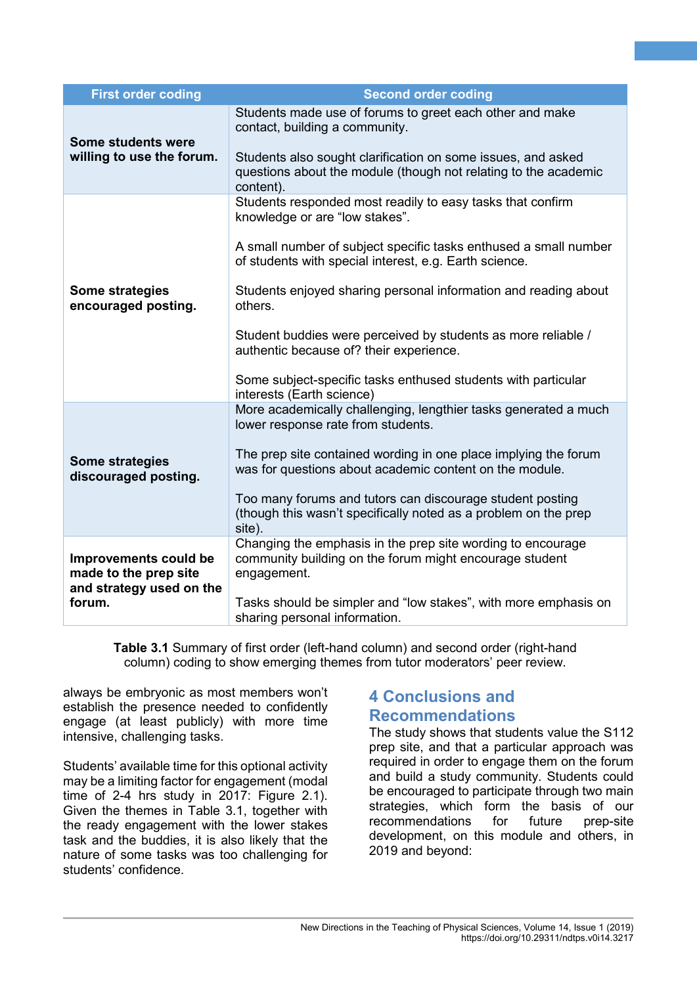| <b>First order coding</b>                                                            | <b>Second order coding</b>                                                                                                                                                                                                                                                                                                                                                                                                                                                                                         |
|--------------------------------------------------------------------------------------|--------------------------------------------------------------------------------------------------------------------------------------------------------------------------------------------------------------------------------------------------------------------------------------------------------------------------------------------------------------------------------------------------------------------------------------------------------------------------------------------------------------------|
| Some students were<br>willing to use the forum.                                      | Students made use of forums to greet each other and make<br>contact, building a community.<br>Students also sought clarification on some issues, and asked<br>questions about the module (though not relating to the academic<br>content).                                                                                                                                                                                                                                                                         |
| Some strategies<br>encouraged posting.                                               | Students responded most readily to easy tasks that confirm<br>knowledge or are "low stakes".<br>A small number of subject specific tasks enthused a small number<br>of students with special interest, e.g. Earth science.<br>Students enjoyed sharing personal information and reading about<br>others.<br>Student buddies were perceived by students as more reliable /<br>authentic because of? their experience.<br>Some subject-specific tasks enthused students with particular<br>interests (Earth science) |
| <b>Some strategies</b><br>discouraged posting.                                       | More academically challenging, lengthier tasks generated a much<br>lower response rate from students.<br>The prep site contained wording in one place implying the forum<br>was for questions about academic content on the module.<br>Too many forums and tutors can discourage student posting<br>(though this wasn't specifically noted as a problem on the prep<br>site).                                                                                                                                      |
| Improvements could be<br>made to the prep site<br>and strategy used on the<br>forum. | Changing the emphasis in the prep site wording to encourage<br>community building on the forum might encourage student<br>engagement.<br>Tasks should be simpler and "low stakes", with more emphasis on<br>sharing personal information.                                                                                                                                                                                                                                                                          |

**Table 3.1** Summary of first order (left-hand column) and second order (right-hand column) coding to show emerging themes from tutor moderators' peer review.

always be embryonic as most members won't establish the presence needed to confidently engage (at least publicly) with more time intensive, challenging tasks.

Students' available time for this optional activity may be a limiting factor for engagement (modal time of 2-4 hrs study in 2017: Figure 2.1). Given the themes in Table 3.1, together with the ready engagement with the lower stakes task and the buddies, it is also likely that the nature of some tasks was too challenging for students' confidence.

## **4 Conclusions and Recommendations**

The study shows that students value the S112 prep site, and that a particular approach was required in order to engage them on the forum and build a study community. Students could be encouraged to participate through two main strategies, which form the basis of our recommendations for future prep-site development, on this module and others, in 2019 and beyond:

**8**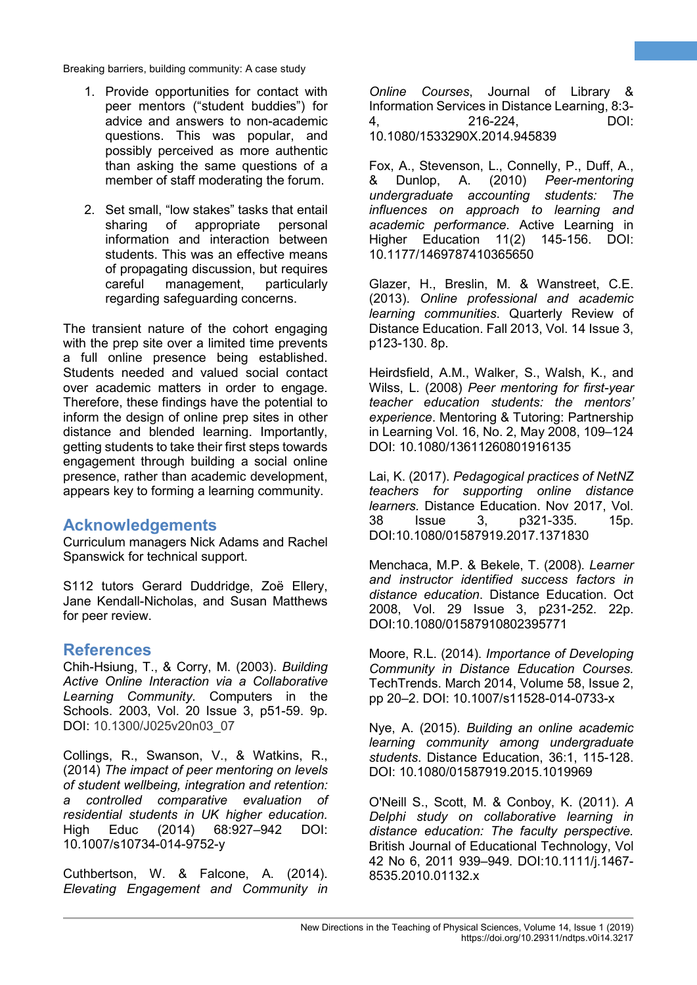- 1. Provide opportunities for contact with peer mentors ("student buddies") for advice and answers to non-academic questions. This was popular, and possibly perceived as more authentic than asking the same questions of a member of staff moderating the forum.
- 2. Set small, "low stakes" tasks that entail sharing of appropriate personal information and interaction between students. This was an effective means of propagating discussion, but requires careful management, particularly regarding safeguarding concerns.

The transient nature of the cohort engaging with the prep site over a limited time prevents a full online presence being established. Students needed and valued social contact over academic matters in order to engage. Therefore, these findings have the potential to inform the design of online prep sites in other distance and blended learning. Importantly, getting students to take their first steps towards engagement through building a social online presence, rather than academic development, appears key to forming a learning community.

## **Acknowledgements**

Curriculum managers Nick Adams and Rachel Spanswick for technical support.

S112 tutors Gerard Duddridge, Zoë Ellery, Jane Kendall-Nicholas, and Susan Matthews for peer review.

## **References**

Chih-Hsiung, T., & Corry, M. (2003). *Building Active Online Interaction via a Collaborative Learning Community*. Computers in the Schools. 2003, Vol. 20 Issue 3, p51-59. 9p. DOI: 10.1300/J025v20n03\_07

Collings, R., Swanson, V., & Watkins, R., (2014) *The impact of peer mentoring on levels of student wellbeing, integration and retention: a controlled comparative evaluation of residential students in UK higher education.*  High Educ (2014) 68:927–942 DOI: 10.1007/s10734-014-9752-y

Cuthbertson, W. & Falcone, A. (2014). *Elevating Engagement and Community in*  *Online Courses*, Journal of Library & Information Services in Distance Learning, 8:3- 4, 216-224, 10.1080/1533290X.2014.945839

**9**

Fox, A., Stevenson, L., Connelly, P., Duff, A., & Dunlop, A. (2010) *Peer-mentoring undergraduate accounting students: The influences on approach to learning and academic performance*. Active Learning in 11(2) 145-156. DOI: 10.1177/1469787410365650

Glazer, H., Breslin, M. & Wanstreet, C.E. (2013). *Online professional and academic learning communities*. Quarterly Review of Distance Education. Fall 2013, Vol. 14 Issue 3, p123-130. 8p.

Heirdsfield, A.M., Walker, S., Walsh, K., and Wilss, L. (2008) *Peer mentoring for first-year teacher education students: the mentors' experience*. Mentoring & Tutoring: Partnership in Learning Vol. 16, No. 2, May 2008, 109–124 DOI: 10.1080/13611260801916135

Lai, K. (2017). *Pedagogical practices of NetNZ teachers for supporting online distance learners.* Distance Education. Nov 2017, Vol. 38 Issue 3, p321-335. 15p. DOI:10.1080/01587919.2017.1371830

Menchaca, M.P. & Bekele, T. (2008). *Learner and instructor identified success factors in distance education*. Distance Education. Oct 2008, Vol. 29 Issue 3, p231-252. 22p. DOI:10.1080/01587910802395771

Moore, R.L. (2014). *Importance of Developing Community in Distance Education Courses.*  TechTrends. March 2014, Volume 58, Issue 2, pp 20–2. DOI: 10.1007/s11528-014-0733-x

Nye, A. (2015). *Building an online academic learning community among undergraduate students*. Distance Education, 36:1, 115-128. DOI: 10.1080/01587919.2015.1019969

O'Neill S., Scott, M. & Conboy, K. (2011). *A Delphi study on collaborative learning in distance education: The faculty perspective.* British Journal of Educational Technology, Vol 42 No 6, 2011 939–949. DOI:10.1111/j.1467- 8535.2010.01132.x